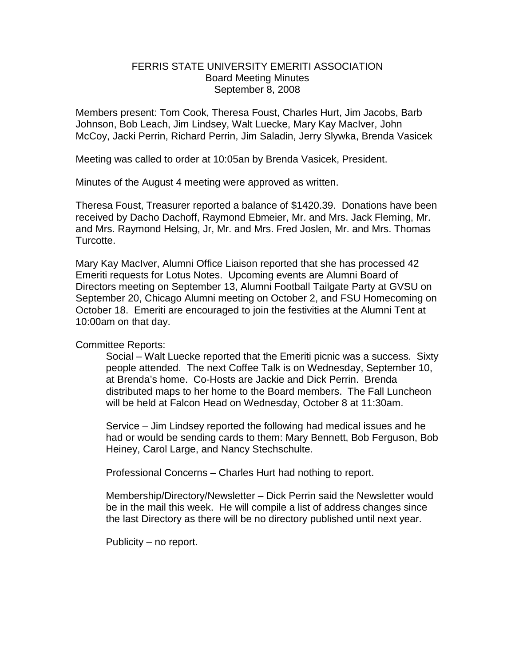## FERRIS STATE UNIVERSITY EMERITI ASSOCIATION Board Meeting Minutes September 8, 2008

Members present: Tom Cook, Theresa Foust, Charles Hurt, Jim Jacobs, Barb Johnson, Bob Leach, Jim Lindsey, Walt Luecke, Mary Kay MacIver, John McCoy, Jacki Perrin, Richard Perrin, Jim Saladin, Jerry Slywka, Brenda Vasicek

Meeting was called to order at 10:05an by Brenda Vasicek, President.

Minutes of the August 4 meeting were approved as written.

Theresa Foust, Treasurer reported a balance of \$1420.39. Donations have been received by Dacho Dachoff, Raymond Ebmeier, Mr. and Mrs. Jack Fleming, Mr. and Mrs. Raymond Helsing, Jr, Mr. and Mrs. Fred Joslen, Mr. and Mrs. Thomas Turcotte.

Mary Kay MacIver, Alumni Office Liaison reported that she has processed 42 Emeriti requests for Lotus Notes. Upcoming events are Alumni Board of Directors meeting on September 13, Alumni Football Tailgate Party at GVSU on September 20, Chicago Alumni meeting on October 2, and FSU Homecoming on October 18. Emeriti are encouraged to join the festivities at the Alumni Tent at 10:00am on that day.

Committee Reports:

Social – Walt Luecke reported that the Emeriti picnic was a success. Sixty people attended. The next Coffee Talk is on Wednesday, September 10, at Brenda's home. Co-Hosts are Jackie and Dick Perrin. Brenda distributed maps to her home to the Board members. The Fall Luncheon will be held at Falcon Head on Wednesday, October 8 at 11:30am.

Service – Jim Lindsey reported the following had medical issues and he had or would be sending cards to them: Mary Bennett, Bob Ferguson, Bob Heiney, Carol Large, and Nancy Stechschulte.

Professional Concerns – Charles Hurt had nothing to report.

Membership/Directory/Newsletter – Dick Perrin said the Newsletter would be in the mail this week. He will compile a list of address changes since the last Directory as there will be no directory published until next year.

Publicity – no report.